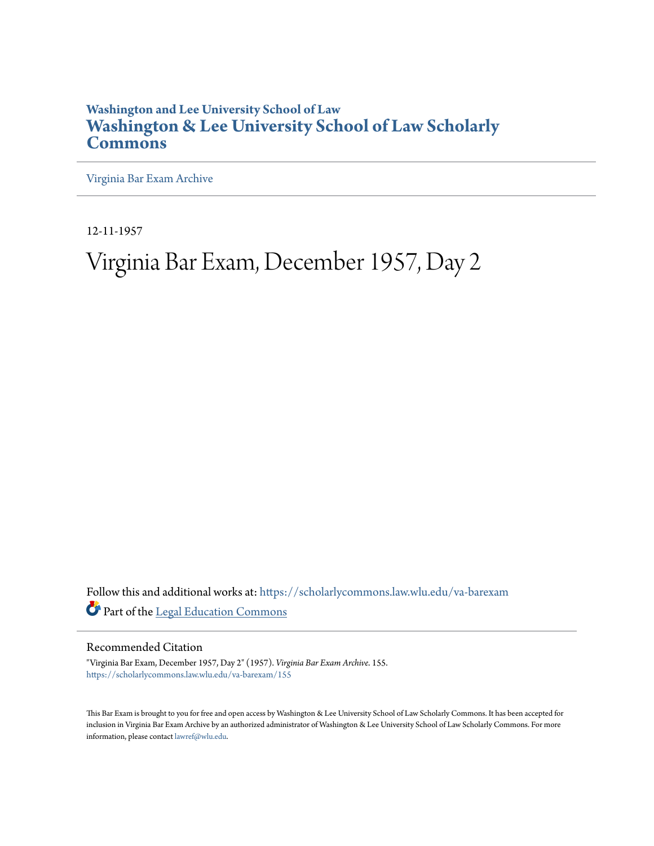## **Washington and Lee University School of Law [Washington & Lee University School of Law Scholarly](https://scholarlycommons.law.wlu.edu?utm_source=scholarlycommons.law.wlu.edu%2Fva-barexam%2F155&utm_medium=PDF&utm_campaign=PDFCoverPages) [Commons](https://scholarlycommons.law.wlu.edu?utm_source=scholarlycommons.law.wlu.edu%2Fva-barexam%2F155&utm_medium=PDF&utm_campaign=PDFCoverPages)**

[Virginia Bar Exam Archive](https://scholarlycommons.law.wlu.edu/va-barexam?utm_source=scholarlycommons.law.wlu.edu%2Fva-barexam%2F155&utm_medium=PDF&utm_campaign=PDFCoverPages)

12-11-1957

# Virginia Bar Exam, December 1957, Day 2

Follow this and additional works at: [https://scholarlycommons.law.wlu.edu/va-barexam](https://scholarlycommons.law.wlu.edu/va-barexam?utm_source=scholarlycommons.law.wlu.edu%2Fva-barexam%2F155&utm_medium=PDF&utm_campaign=PDFCoverPages) Part of the [Legal Education Commons](http://network.bepress.com/hgg/discipline/857?utm_source=scholarlycommons.law.wlu.edu%2Fva-barexam%2F155&utm_medium=PDF&utm_campaign=PDFCoverPages)

Recommended Citation

"Virginia Bar Exam, December 1957, Day 2" (1957). *Virginia Bar Exam Archive*. 155. [https://scholarlycommons.law.wlu.edu/va-barexam/155](https://scholarlycommons.law.wlu.edu/va-barexam/155?utm_source=scholarlycommons.law.wlu.edu%2Fva-barexam%2F155&utm_medium=PDF&utm_campaign=PDFCoverPages)

This Bar Exam is brought to you for free and open access by Washington & Lee University School of Law Scholarly Commons. It has been accepted for inclusion in Virginia Bar Exam Archive by an authorized administrator of Washington & Lee University School of Law Scholarly Commons. For more information, please contact [lawref@wlu.edu](mailto:lawref@wlu.edu).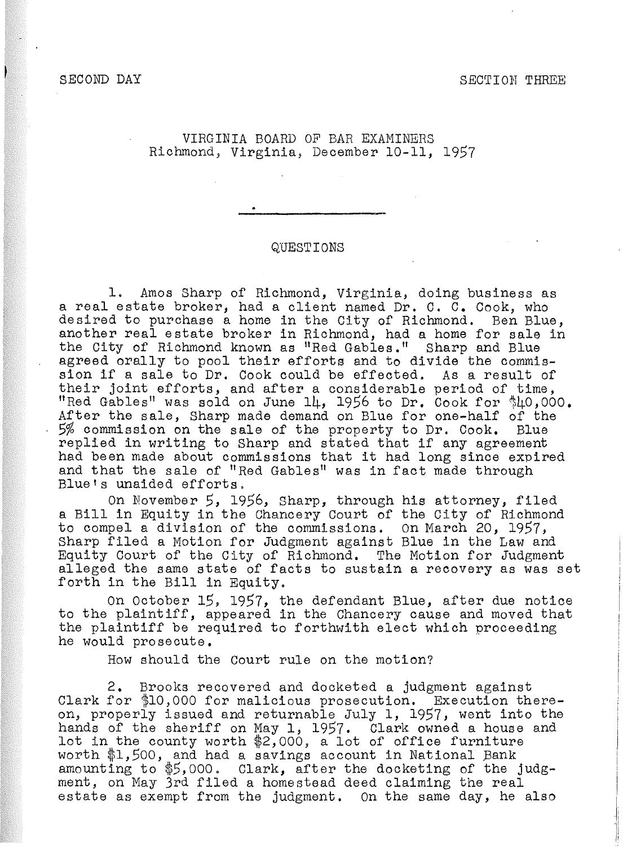### SECOND DAY SECOND SECOND SECOND SECOND SECOND SECOND SECOND SECOND SECOND SECOND SECOND SECOND SECOND SECOND SECOND SECOND SECOND SECOND SECOND SECOND SECOND SECOND SECOND SECOND SECOND SECOND SECOND SECOND SECOND SECOND S

VIRGINIA BOARD OF BAR EXAMINERS Richmond, Virginia, December 10-11, 1957

#### QUESTIONS

1. Amos Sharp of Richmond, Virginia, doing business as a real estate broker, had a client named Dr. C. c. Cook, who desired to purchase a home in the City of Richmond. Ben Blue, another real estate broker in Richmond, had a home for sale in the City of Richmond known as "Red Gables." Sharp and Blue agreed orally to pool their efforts and to divide the commission if a sale to Dr. Cook could be effected. As a result of their joint efforts, and after a considerable period of time, "Red Gables" was sold on June 14, 1956 to Dr. Cook for  $$40,000$ . After the sale, Sharp made demand on Blue for one-half of the<br>5% commission on the sale of the property to Dr. Cook. Blue 5% commission on the sale of the property to Dr. Cook. replied in writing to Sharp and stated that if any agreement had been made about commissions that it had long since expired and that the sale of "Red Gables" was in fact made through Bluets unaided efforts.

On November *5,* 1956, Sharp, through his attorney, filed a Bill in Equity in the Chancery Court of the City of Richmond to compel a division of the commissions. on March 20, 1957, Sharp filed a Motion for Judgment against Blue in the Law and Equity Court of the City of Richmond. The Motion for Judgment alleged the same state of facts to sustain a recovery as was set forth in the Bill in Equity.

On October 15, 1957, the defendant Blue, after due notice to the plaintiff, appeared in the Chancery cause and moved that the plaintiff be required to forthwith elect which proceeding he would prosecute.

How should the Court rule on the motion?

2. Brooks recovered and docketed a judgment against Clark for \$10,000 for malicious prosecution. Execution thereon, properly issued and returnable July 1, 1957, went into the hands of the sheriff on May 1, 1957. Clark owned a house and lot in the county worth \$2,000, a lot of office furniture worth \$1,500, and had a savings account in National Bank amounting to *\$5,ooo.* Clark, after the docketing of the judgment, on May 3rd filed a homestead deed claiming the real estate as exempt from the judgment. On the same day, he also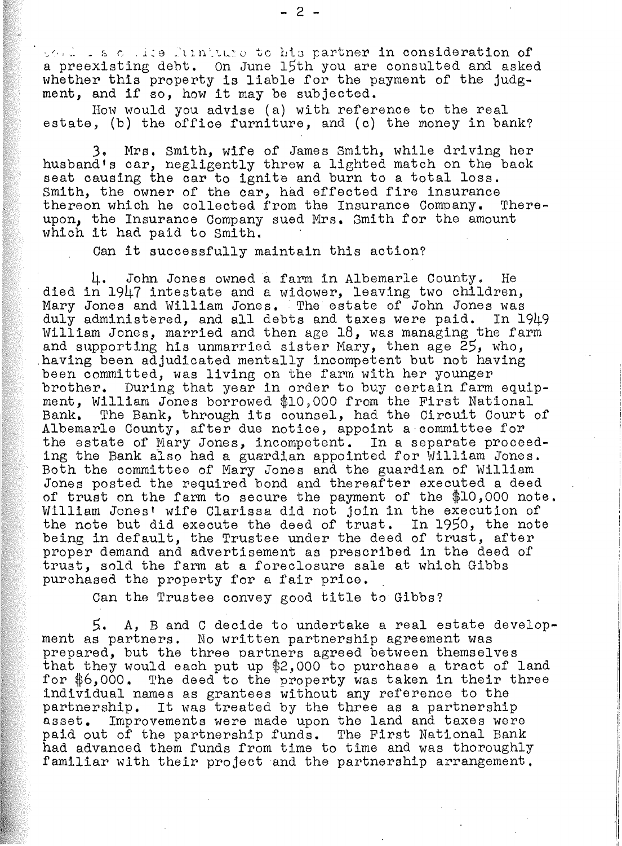the less of lite fundance to his partner in consideration of a preexisting debt. On June 15th you are consulted and asked whether this property is liable for the payment of the judgment, and if so, how it may be subjected.

How would you advise (a) with reference to the real estate, (b) the office furniture, and (c) the money in bank?

3. Mrs. Smith, wife of James Smith, while driving her husband's car, negligently threw a lighted match on the back seat causing the car to ignite and burn to a total loss. Smith, the owner of the car, had effected fire insurance thereon which he collected from the Insurance Company. Thereupon, the Insurance Company sued Mrs. Smith for the amount which it had paid to Smith.

Can it successfully maintain this action?

4. John Jones owned a farm in Albemarle County. He died in 1947 intestate and a widower, leaving two children, Mary Jones and William Jones. The estate of John Jones was duly administered, and all debts and taxes were paid. In 1949 William Jones, married and then age 18, was managing the farm and supporting his unmarried sister Mary, then age 25, who, having been adjudicated mentally incompetent but not having been committed, was living on the farm with her younger brother. During that year in order to buy certain farm equipment, William Jones borrowed \$10,000 from the First National Bank. The Bank, through its counsel, had the Circuit Court of Albemarle County, after due notice, appoint a committee for the estate of Mary Jones, incompetent. In a separate proceeding the Bank also had a guardian appointed for William Jones. Both the committee of Mary Jones and the guardian of William Jones posted the required bond and thereafter executed a deed of trust on the farm to secure the payment of the \$10,000 note. William Jonest wife Clarissa did not join in the execution of the note but did execute the deed of trust. In 1950, the note being in default, the Trustee under the deed of trust, after proper demand and advertisement as prescribed in the deed of trust, sold the farm at a foreclosure sale at which Gibbs purchased the property for a fair price.

Can the Trustee convey good title to Gibbs?

*5.* A, B and C decide to undertake a real estate development as partners. No written partnership agreement was prepared, but the three partners agreed between themselves that they would each put up \$2,000 to purchase a tract of land for \$6,000. The deed to the property was taken in their three individual names as grantees without any reference to the partnership. It was treated by the three as a partnership asset. Improvements were made upon the land and taxes were Improvements were made upon the land and taxes were paid out of the partnership funds. The First National Bank had advanced them funds from time to time and was thoroughly familiar with their project and the partnership arrangement.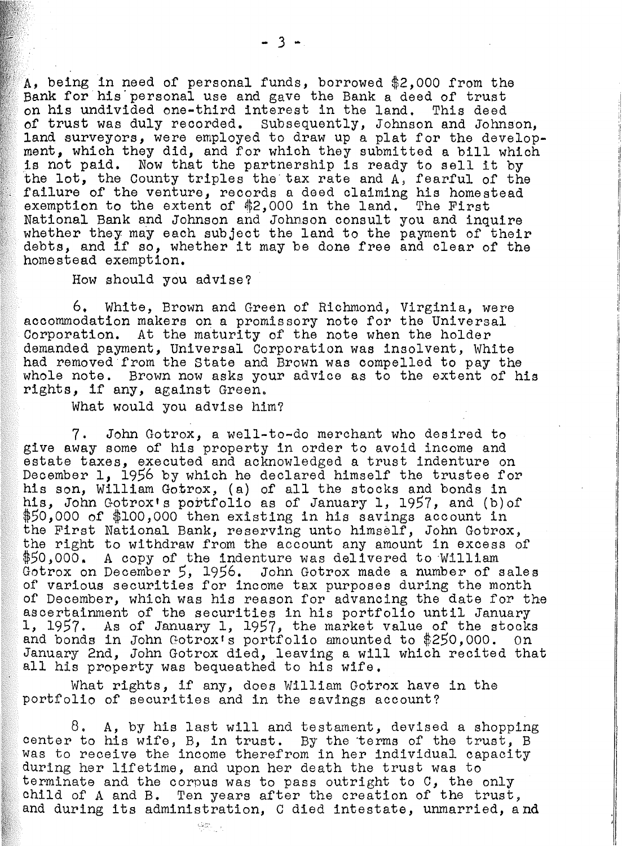being in need of personal funds, borrowed \$2,000 from the Bank for his personal use and gave the Bank a deed of trust on his undivided one-third interest in the land. This deed of trust was duly recorded. Subsequently, Johnson and Johnson, land surveyors, were employed to draw up a plat for the development, which they did, and for which they submitted a bill which is not paid. Now that the partnership is ready to sell it by the lot, the County triples the· tax rate and A, fearful of the failure of the venture, records a deed claiming his homestead exemption to the extent of  $$2,000$  in the land. The First National Bank and Johnson and Johnson consult you and inquire whether they may each subject the land to the payment of their debts, and if so, whether it may be done free and clear of the homestead exemption.

How should you advise?

6. White, Brown and Green of Richmond, Virginia, were accommodation makers on a promissory note for the Universal Corporation. At the maturity of the note when the holder demanded payment, Universal Corporation was insolvent, White had removed from the State and Brown was compelled to pay the whole note. Brown now asks your advice as to the extent of his rights, if any, against Green.

What would you advise him?

7, John Gotrox, a well-to-do merchant who desired to give away some of his property in order to avoid income and estate taxes, executed and acknowledged a trust indenture on December 1, 1956 by which he declared himself the trustee for his son, William Gotrox, (a) of all the stocks and bonds in his, John Gotrox's portfolio as of January 1, 1957, and (b) of *\$50,000* of \$100,000 then existing in his savings account in the First National Bank, reserving unto himself, John Gotrox, the right to withdraw from the account any amount in excess of \$50,000. A copy of the indenture was delivered to William Gotrox on December *5,* 1956. John Gotrox made a number of sales of various securities for income tax purposes during the month of December, which was his reason for advancing the date for the ascertainment of the securities in his portfolio until January 1, 1957. As of January 1, 1957, the market value of the stocks and bonds in John Gotroxts portfolio amounted to *\$250,000.* On January 2nd, John Gotrox died, leaving a will which recited that all his property was bequeathed to his wife.

What rights, if any, does William Gotrcx have in the portfolio of securities and in the savings account?

9er.

8. *A,* by his last will and testament, devised a shopping center to his wife, B, in trust. By the terms of the trust, B was to receive the income therefrom in her individual capacity during her lifetime, and upon her death the trust was to terminate and the corpus was to pass outright to G, the only child of A and B. Ten years after the creation of the trust, and during its administration, C died intestate, unmarried, and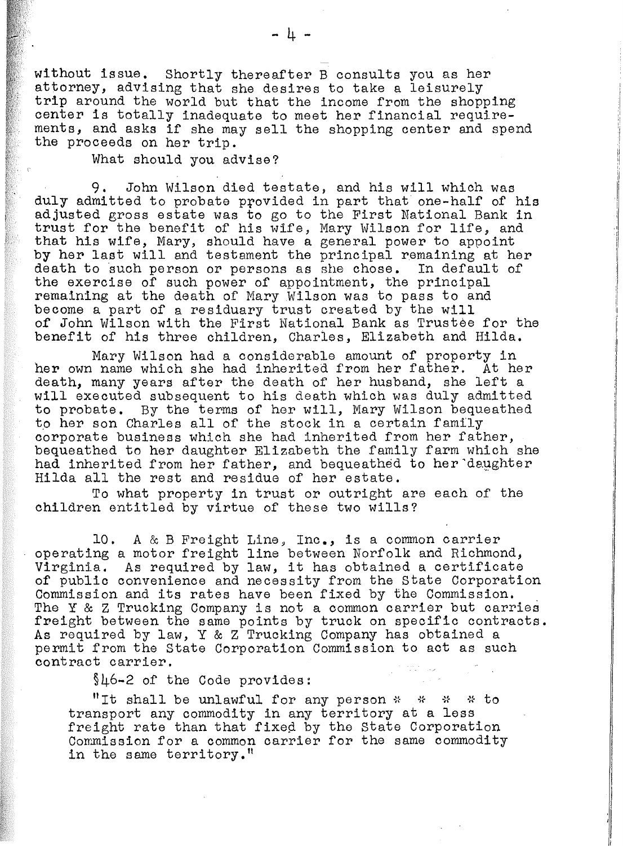without issue. Shortly thereafter B consults you as her attorney, advising that she desires to take a leisurely trip around the world but that the income from the shopping center is totally inadequate to meet her financial requirements, and asks if she may sell the shopping center and spend the proceeds on her trip.

What should you advise?

9. John Wilson died testate, and his will which was duly admitted to probate provided in part that one-half of his adjusted gross estate was to go to the First National Bank in trust for the benefit of his wife, Mary Wilson for life, and that his wife, Mary, should have a general power to appoint by her last will and testament the principal remaining at her death to such person or persons as she chose. In default of the exercise of such power of appointment, the principal remaining at the death of Mary Wilson was to pass to and become a part of a residuary trust created by the will of John Wilson with the First National Bank as Trustee for the benefit of his three children, Charles, Elizabeth and Hilda.

Mary Wilson had a considerable amount of property in her own name which she had inherited from her father. At her death, many years after the death of her husband, she left a will executed subsequent to his death which was duly admitted to probate. By the terms of her will, Mary Wilson bequeathed to her son Charles all of the stock in a certain family corporate business which she had inherited from her father, bequeathed to her daughter Elizabeth the family farm which she had inherited from her father, and bequeathed to her daughter Hilda all the rest and residue of her estate.

To what property in trust or outright are each of the children entitled by virtue of these two wills?

10. A & B Freight Line, Inc., is a common carrier operating a motor freight line between Norfolk and Richmond, Virginia. As required by law, it has obtained a certificate of public convenience and necessity from the state Corporation Commission and its rates have been fixed by the Commission. The Y & Z Trucking Company is not a common carrier but carries freight between the same points by truck on specific contracts. As required by law, Y & Z Trucking Company has obtained a permit from the State Corporation Commission to act as such contract carrier.

§46-2 of the Code provides:

"It shall be unlawful for any person  $*$   $*$   $*$   $*$  to transport any commodity in any territory at a less freight rate than that fixed by the State Corporation Commission for a common carrier for the same commodity in the same territory."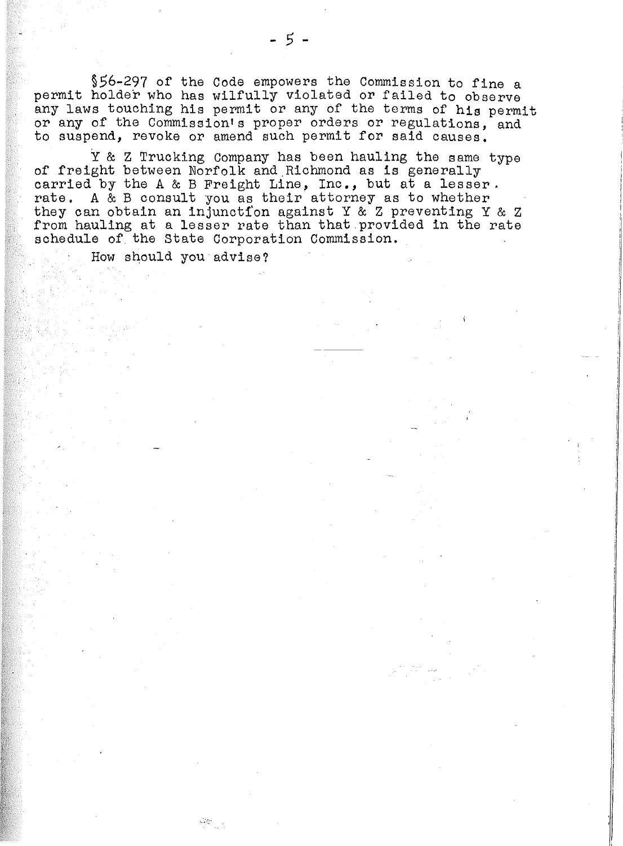§56-297 of the Code empowers the Commission to fine a permit holder who has wilfully violated or failed to observe any laws touching his permit or any of the terms of **his** permit or any of the Commission's proper orders or regulations, and to suspend, revoke or amend such permit for said causes.

Y & Z Trucking Company has been hauling the same type of freight between Norfolk and.Richmond as is generally carried by the A & B Freight Line, Inc., but at a lesser. rate. A & B consult you as their attorney as to whether they can obtain an injunction against Y  $\&$  Z preventing Y  $\&$  Z from hauling at a lesser rate than that provided in the rate schedule of the State Corporation Commission.

How should you advise?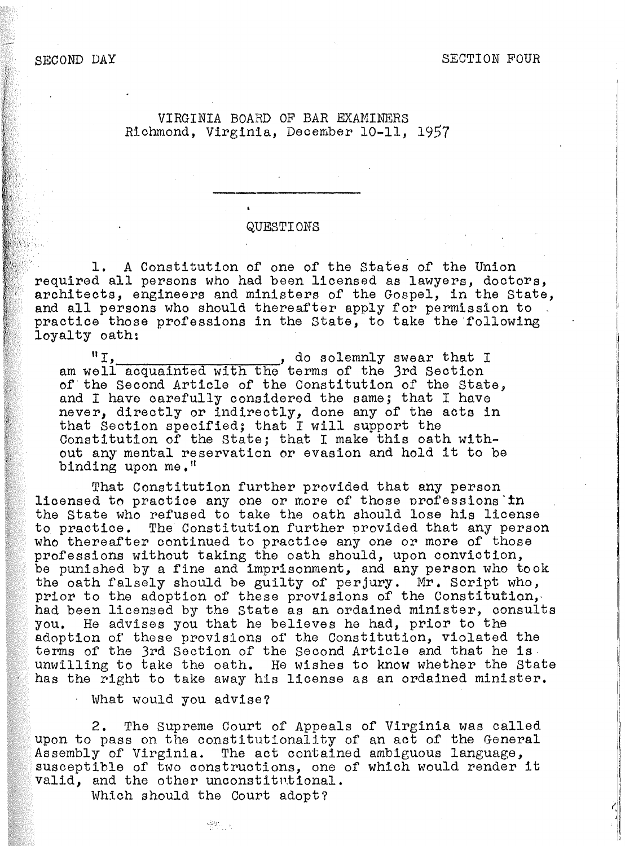SECOND DAY SECTION FOUR

### VIRGINIA BOARD OF BAR EXAMINERS Richmond, Virginia, December 10-11, 1957

#### QUESTIONS

1. A Constitution of one of the states of the Union required all persons who had been licensed as lawyers, doctors, architects, engineers and ministers of the Gospel, in the State, and all persons who should thereafter apply for permission to practice those professions in the State, to take the following loyalty oath:

 $"I$ ,  $'$ , do solemnly swear that I am well acquainted with the terms of the 3rd Section of· the Second Article of the Constitution of the State, and I have carefully considered the same; that I have never, directly or indirectly, done any of the acts in that Section specified; that I will support the Constitution of the State; that I make this oath without any mental reservation er evasion and hold it to be binding upon me."

That Constitution further provided that any person licensed to practice any one or more of those professions in the State who refused to take the oath should lose his license to practice. The Constitution further nrovided that any person who thereafter continued to practice any one or more of those professions without taking the oath should, upon conviction, be punished by a fine and imprisonment, and any person who took the oath falsely should be guilty of perjury. Mr. Script who, prior to the adoption of these provisions of the Constitution, had been licensed by the state as an ordained minister, consults you. He advises you that he believes he had, prior to the adoption of these provisions of the Constitution, violated the duopolion of the 3rd Section of the Second Article and that he is. unwilling to take the oath. He wishes to know whether the State has the right to take away his license as an ordained minister.

· What would you advise?

2. The Supreme Court of Appeals of Virginia was called upon to pass on the constitutionality of an act of the General Assembly of Virginia. The act contained ambiguous language, susceptible of two constructions, one of which would render it valid, and the other unconstitntional.

Which should the Court adopt?

 $\frac{1}{2} \sum_{i=1}^n \frac{1}{2} \sum_{j=1}^n \frac{1}{2} \sum_{j=1}^n \frac{1}{2} \sum_{j=1}^n \frac{1}{2} \sum_{j=1}^n \frac{1}{2} \sum_{j=1}^n \frac{1}{2} \sum_{j=1}^n \frac{1}{2} \sum_{j=1}^n \frac{1}{2} \sum_{j=1}^n \frac{1}{2} \sum_{j=1}^n \frac{1}{2} \sum_{j=1}^n \frac{1}{2} \sum_{j=1}^n \frac{1}{2} \sum_{j=1}^n \frac{1}{2} \sum_{j=$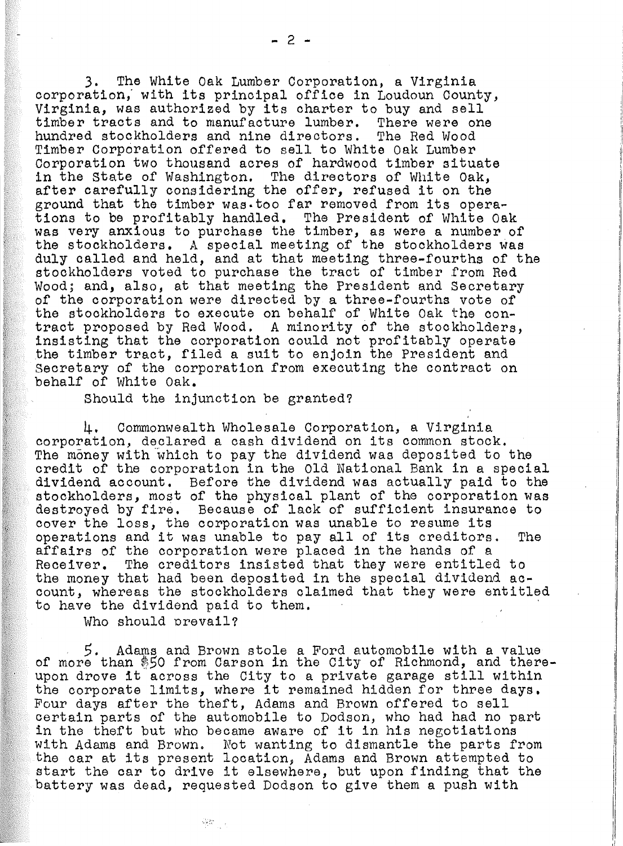3. The White Oak Lumber Corporation, a Virginia corporation; with its principal office in Loudoun County, Virginia, was authorized by its charter to buy and sell timber tracts and to manufacture lumber. There were one hundred stockholders and nine directors. The Red Wood Timber Corporation offered to sell to White Oak Lumber Corporation two thousand acres of hardwood timber situate in the State of Washington. The directors of White Oak, after carefully considering the offer, refused it on the factor carefully considering the offer, refused it on the ground that the timber was.too far removed from its operations to be profitably handled. The President of White Oak was very anxious to purchase the timber, as were a number of the stockholders. A special meeting of the stockholders was duly called and held, and at that meeting three-fourths of the stockholders voted to purchase the tract of timber from Red Wood; and, also, at that meeting the President and Secretary of the corporation were directed by a three-fourths vote of the stockholders to execute on behalf of White Oak the contract proposed by Red Wood. A minority of the stockholders, insisting that the corporation could not profitably operate the timber tract, filed a suit to enjoin the President and Secretary of the corporation from executing the contract on behalf of White Oak.

Should the injunction be granted?

4, Commonwealth Wholesale Corporation, a Vj.rginia. corporation, declared a cash dividend on its common stock. The money with which to pay the dividend was deposited to the credit of the corporation in the Old National Bank in a special dividend account. Before the dividend was actually paid to the stockholders, most of the physical plant of the corporation was destroyed by fire. Because of lack of sufficient insurance to cover the loss, the corporation was unable to resume its operations and it was unable to pay all of its creditors. The affairs of the corporation were placed in the hands of a Receiver. The creditors insisted that they were entitled to the money that had been deposited in the special dividend account, whereas the stockholders claimed that they were entitled to have the dividend paid to them.

Who should prevail?

- 51

. *5.* Adams and Brown stole a Ford automobile with a value of more than *®50* from Carson in the City of Richmond, and thereupon drove it across the City to a private garage still within the corporate limits, where it remained hidden for three days, Four days after the theft, Adams and Brown offered to sell certain parts of the automobile to Dodson, who had had no part in the theft but who became aware of it in his negotiations with Adams and Brown. Not wanting to dismantle the parts from the car at its present location, Adams and Brown attempted to start the car to drive it elsewhere, but upon finding that the battery was dead, requested Dodson to give them a push with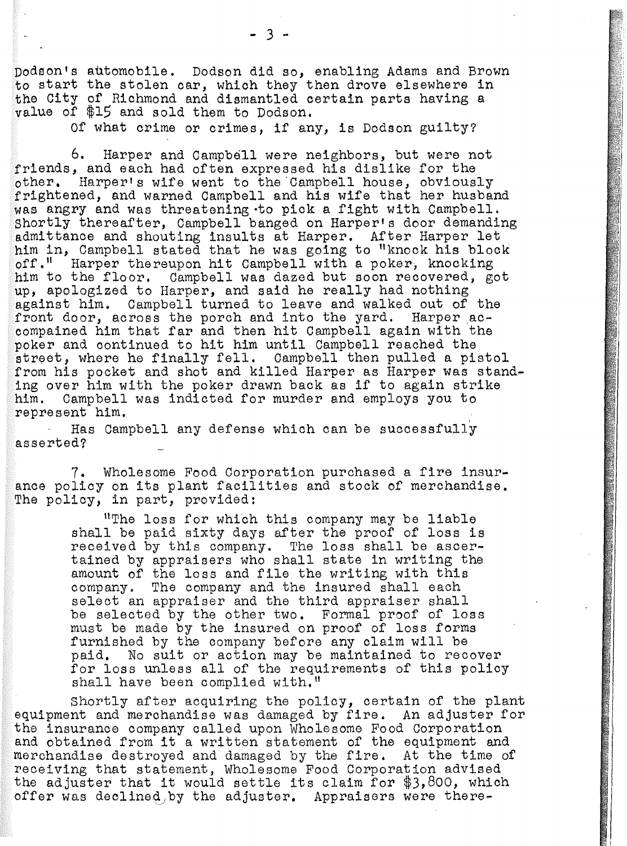Dodson's automobile. Dodson did so, enabling Adams and Brown to start the stolen car, which they then drove elsewhere in the City of Richmond and dismantled certain parts having a value of \$15 and sold them to Dodson.

Of what crime or crimes, if any, is Dodson guilty?

6. Harper and Campbell were neighbors, but were not friends, and each had often expressed his dislike for the other, Harper's wife went to the.Campbell house, obviously frightened, and warned Campbell and his wife that.her husband was angry and was threatening·to pick a fight with Campbell. Shortly thereafter, Campbell banged on Harper's door demanding admittance and shouting insults at Harper. After Harper let him in, Campbell stated that he was going to "knock his block off." Harper thereupon hit Campbell with a poker. knocking Harper thereupon hit Campbell with a poker, knocking him to the floor. Campbell was dazed but soon recovered, got up, apologized to Harper, and said he really had nothing against him. Campbell turned to leave and walked out of the front door, across the porch and into the yard. Harper accompained him that far and then hit Campbell again with the poker and continued to hit him until Campbell reached the street, where he finally fell. Campbell then pulled a pistol from his pocket and shot and killed Harper as Harper was standing over him with the poker drawn back as if to again strike<br>him. Campbell was indicted for murder and employs you to Campbell was indicted for murder and employs you to represent him. ,

Has Campbell any defense which can be successfully asserted'?

7. Wholesome Food Corporation purchased a fire insurance policy on its plant facilities and stock of merchandise. The policy, in part, provided:

> "The loss for which this company may be liable shall be paid sixty days after the proof of loss is received by this company. The loss shall be ascertained by appraisers who shall state in writing the amount of the loss and file the writing with this company. The company and the insured shall each select an appraiser and the third appraiser shall be selected by the other two. Formal proof of loss must be made by the insured on proof of loss forms furnished by the company before any claim will be paid. No suit or action may be maintained to recover for loss unless all of the requirements of this policy shall have been complied with."

Shortly after acquiring the policy, certain of the plant equipment and merchandise was damaged by fire. An adjuster for the insurance company called upon Wholesome Food Corporation and obtained from it a written statement of the equipment and merchandise destroyed and damaged by the fire. At the time of receiving that statement, Wholesome Food Corporation advised the adjuster that it would settle its claim for *\$3,800,* which offer was declined by the adjuster. Appraisers were there-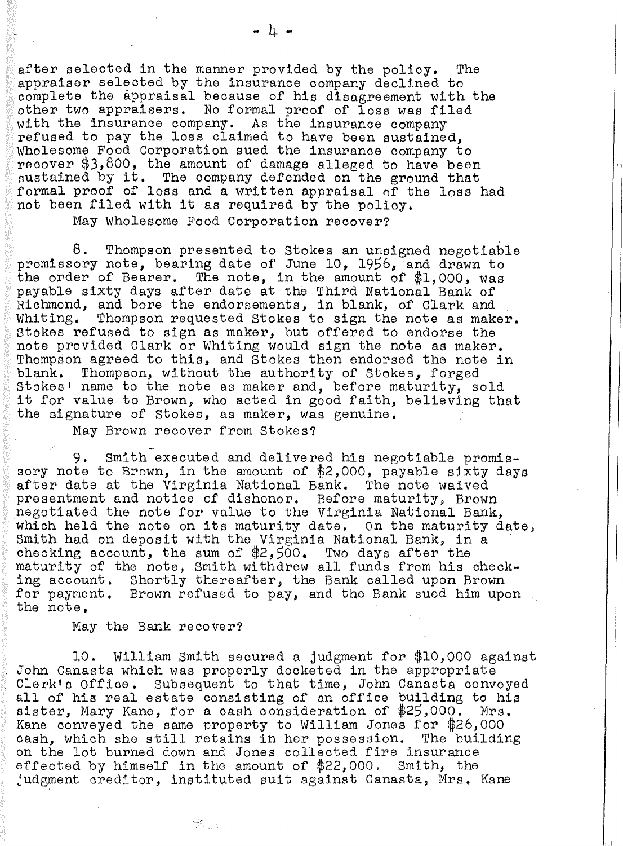after selected in the manner provided by the policy, The appraiser selected by the insurance company declined to complete the appraisal because of his disagreement with the other two appraisers. No formal proof of loss was filed with the insurance company, As the insurance company refused to pay the loss claimed to have been sustained, Wholesome Food Corporation sued the insurance company to recover \$3,800, the amount of damage alleged to have been sustained by it, The company defended on the ground that formal proof of loss and a written appraisal of the loss had not been filed with it as required by the policy.

May Wholesome Food Corporation recover?

8. Thompson presented to stokes an unsigned negotiable promissory note, bearing date of June 10, 1956, and drawn to the order of Bearer. The note, in the amount of \$1,000, was payable sixty days after date at the Third National Bank of Richmond, and bore the endorsements, in blank, of Clark and Whiting. Thompson requested Stokes to sign the note as maker. stokes refused to sign as maker, but offered to endorse the note provided Clark or Whiting would sign the note as maker. Thompson agreed to this, and Stokes then endorsed the note in blank. Thompson, without the authority of Stokes. forged Thompson, without the authority of Stokes, forged Stokes' name to the note as maker and, before maturity, sold it for value to Brown, who acted in good faith, believing that the signature of stokes, as maker, was genuine.

May Brown recover from Stokes?

- 9. Smith executed and delivered his negotiable promissory note to Brown, in the amount of \$2,000, payable sixty days after date at the Virginia National Bank. The note waived presentment and notice of dishonor. Before maturity, Brown negotiated the note for value to the Virginia National Bank, which held the note on its maturity date. On the maturity date, Smith had on deposit with the Virginia National Bank, in a checking account, the sum of \$2,500. Two days after the maturity of the note, Smith withdrew all funds from his checking account. Shortly thereafter, the Bank called upon Brown for payment. Brown refused to pay, and the Bank sued him upon the note.

May the Bank recover?

 $\frac{1}{2} \mathfrak{A}_{\mathbb{Z}_2 \times \mathbb{Z}_2}$ 

10. William Smith secured a judgment for \$10,000 against John Canasta which was properly docketed in the appropriate Clerk's Office. Subsequent to that time, John Canasta conveyed all of his real estate consisting of an office building to his sister, Mary Kane, for a cash consideration of \$25,000. Mrs. Kane conveyed the same property to William Jones for \$26,000<br>cash. which she still retains in her possession. The building cash, which she still retains in her possession. on the lot burned down and Jones collected fire insurance effected by himself in the amount of \$22,000. Smith, the judgment creditor, instituted suit against Canasta, Mrs. Kane